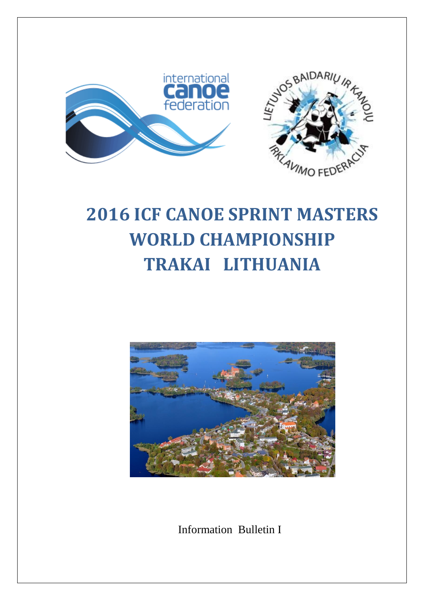

# **2016 ICF CANOE SPRINT MASTERS WORLD CHAMPIONSHIP TRAKAI LITHUANIA**



**Information Bulletin I**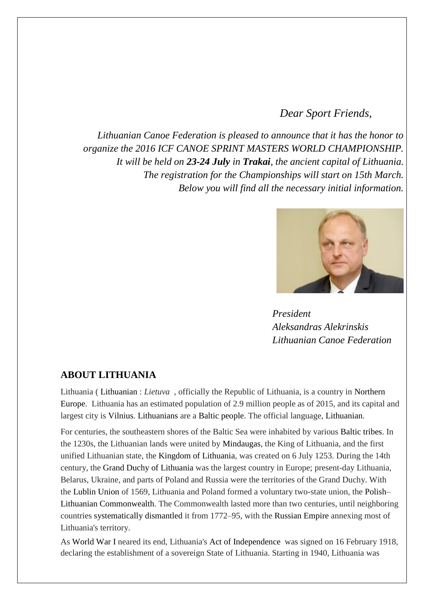# *Dear Sport Friends,*

*Lithuanian Canoe Federation is pleased to announce that it has the honor to organize the 2016 ICF CANOE SPRINT MASTERS WORLD CHAMPIONSHIP. It will be held on 23-24 July in Trakai, the ancient capital of Lithuania. The registration for the Championships will start on 15th March. Below you will find all the necessary initial information.*



 *President Aleksandras Alekrinskis Lithuanian Canoe Federation* 

#### **ABOUT LITHUANIA**

Lithuania ( Lithuanian : *Lietuva* , officially the Republic of Lithuania, is a country in Northern Europe. Lithuania has an estimated population of 2.9 million people as of 2015, and its capital and largest city is Vilnius. Lithuanians are a Baltic people. The official language, Lithuanian.

For centuries, the southeastern shores of the Baltic Sea were inhabited by various Baltic tribes. In the 1230s, the Lithuanian lands were united by Mindaugas, the King of Lithuania, and the first unified Lithuanian state, the Kingdom of Lithuania, was created on 6 July 1253. During the 14th century, the Grand Duchy of Lithuania was the largest country in Europe; present-day Lithuania, Belarus, Ukraine, and parts of Poland and Russia were the territories of the Grand Duchy. With the Lublin Union of 1569, Lithuania and Poland formed a voluntary two-state union, the Polish– Lithuanian Commonwealth. The Commonwealth lasted more than two centuries, until neighboring countries systematically dismantled it from 1772–95, with the Russian Empire annexing most of Lithuania's territory.

As World War I neared its end, Lithuania's Act of Independence was signed on 16 February 1918, declaring the establishment of a sovereign State of Lithuania. Starting in 1940, Lithuania was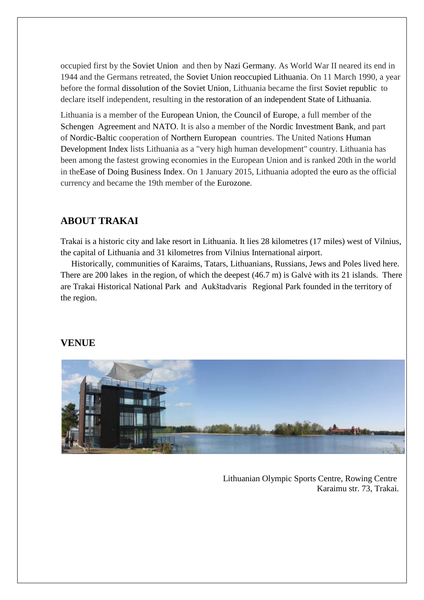occupied first by the Soviet Union and then by Nazi Germany. As World War II neared its end in 1944 and the Germans retreated, the Soviet Union reoccupied Lithuania. On 11 March 1990, a year before the formal dissolution of the Soviet Union, Lithuania became the first Soviet republic to declare itself independent, resulting in the restoration of an independent State of Lithuania.

Lithuania is a member of the European Union, the Council of Europe, a full member of the Schengen Agreement and NATO. It is also a member of the Nordic Investment Bank, and part of Nordic-Baltic cooperation of Northern European countries. The United Nations Human Development Index lists Lithuania as a "very high human development" country. Lithuania has been among the fastest growing economies in the European Union and is ranked 20th in the world in theEase of Doing Business Index. On 1 January 2015, Lithuania adopted the euro as the official currency and became the 19th member of the Eurozone.

# **ABOUT TRAKAI**

[Trakai](https://upload.wikimedia.org/wikipedia/commons/d/d2/Trakai.ogg) is a historic city and lake resort in [Lithuania.](https://en.wikipedia.org/wiki/Lithuania) It lies 28 kilometres (17 miles) west of [Vilnius,](https://en.wikipedia.org/wiki/Vilnius) the capital of Lithuania and 31 kilometres from Vilnius International airport.

 Historically, communities of [Karaims,](https://en.wikipedia.org/wiki/Crimean_Karaites) [Tatars,](https://en.wikipedia.org/wiki/Tatars) [Lithuanians,](https://en.wikipedia.org/wiki/Lithuanians) [Russians,](https://en.wikipedia.org/wiki/Russians) [Jews](https://en.wikipedia.org/wiki/Jews) and [Poles](https://en.wikipedia.org/wiki/Poles) lived here. There are 200 lakes in the region, of which the deepest (46.7 m) is Galvė with its 21 islands. There are Trakai Historical National Park and Aukštadvaris Regional Park founded in the territory of the region.

## **VENUE**



 Lithuanian Olympic Sports Centre, Rowing Centre Karaimu str. 73, Trakai.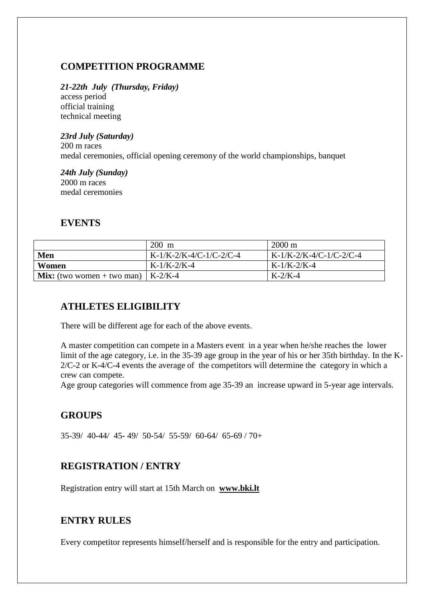# **COMPETITION PROGRAMME**

#### *21-22th July (Thursday, Friday)*

access period official training technical meeting

# *23rd July (Saturday)*

200 m races medal ceremonies, official opening ceremony of the world championships, banquet

#### *24th July (Sunday)* 2000 m races medal ceremonies

# **EVENTS**

|                                             | 200 m                     | $2000 \text{ m}$          |
|---------------------------------------------|---------------------------|---------------------------|
| Men                                         | $K-1/K-2/K-4/C-1/C-2/C-4$ | $K-1/K-2/K-4/C-1/C-2/C-4$ |
| Women                                       | $K-1/K-2/K-4$             | $K-1/K-2/K-4$             |
| <b>Mix:</b> (two women + two man)   K-2/K-4 |                           | $K-2/K-4$                 |

# **ATHLETES ELIGIBILITY**

There will be different age for each of the above events.

A master competition can compete in a Masters event in a year when he/she reaches the lower limit of the age category, i.e. in the 35-39 age group in the year of his or her 35th birthday. In the K-2/C-2 or K-4/C-4 events the average of the competitors will determine the category in which a crew can compete.

Age group categories will commence from age 35-39 an increase upward in 5-year age intervals.

# **GROUPS**

35-39/ 40-44/ 45- 49/ 50-54/ 55-59/ 60-64/ 65-69 / 70+

## **REGISTRATION / ENTRY**

Registration entry will start at 15th March on **[www.bki.lt](http://www.bki.lt/)**

## **ENTRY RULES**

Every competitor represents himself/herself and is responsible for the entry and participation.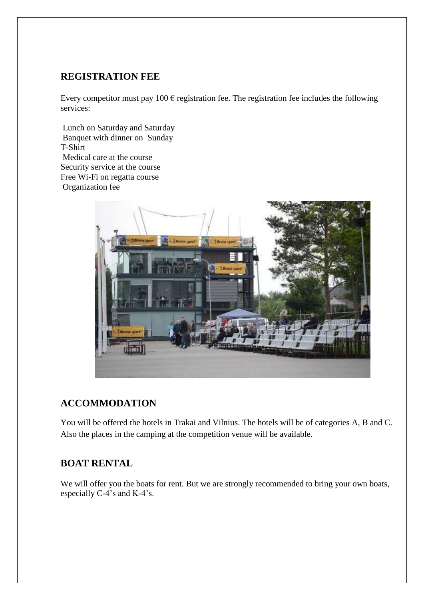## **REGISTRATION FEE**

Every competitor must pay 100  $\epsilon$  registration fee. The registration fee includes the following services:

Lunch on Saturday and Saturday Banquet with dinner on Sunday T-Shirt Medical care at the course Security service at the course Free Wi-Fi on regatta course Organization fee



## **ACCOMMODATION**

You will be offered the hotels in Trakai and Vilnius. The hotels will be of categories A, B and C. Also the places in the camping at the competition venue will be available.

## **BOAT RENTAL**

We will offer you the boats for rent. But we are strongly recommended to bring your own boats, especially C-4's and K-4's.